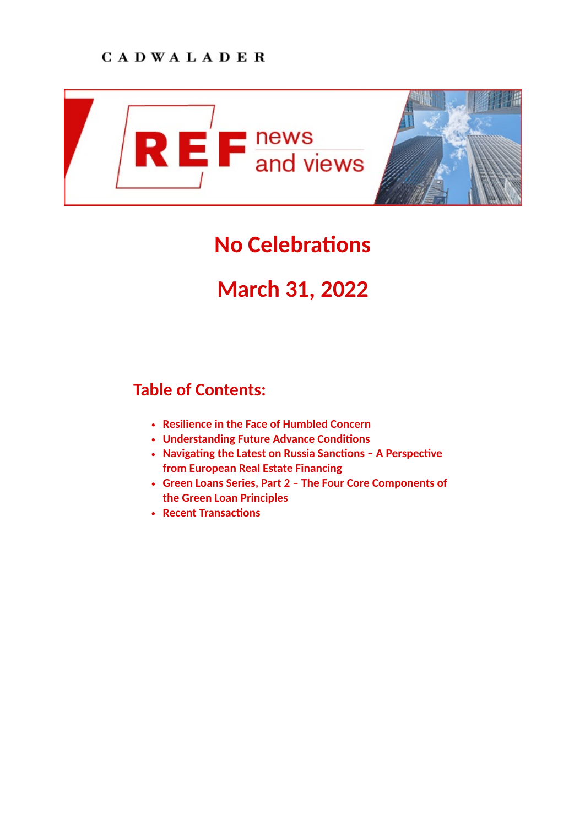

# **No Celebrations**

# **March 31, 2022**

# **Table of Contents:**

- **[Resilience in the Face of Humbled Concern](https://www.cadwalader.com/ref-news-views/index.php?eid=202&nid=45%22)**
- **Understanding Future Advance Conditions**
- Navigating the Latest on Russia Sanctions A Perspective **from European Real Estate Financing**
- **[Green Loans Series, Part 2 The Four Core Components of](https://www.cadwalader.com/ref-news-views/index.php?eid=198&nid=45%22) the Green Loan Principles**
- **Recent Transactions**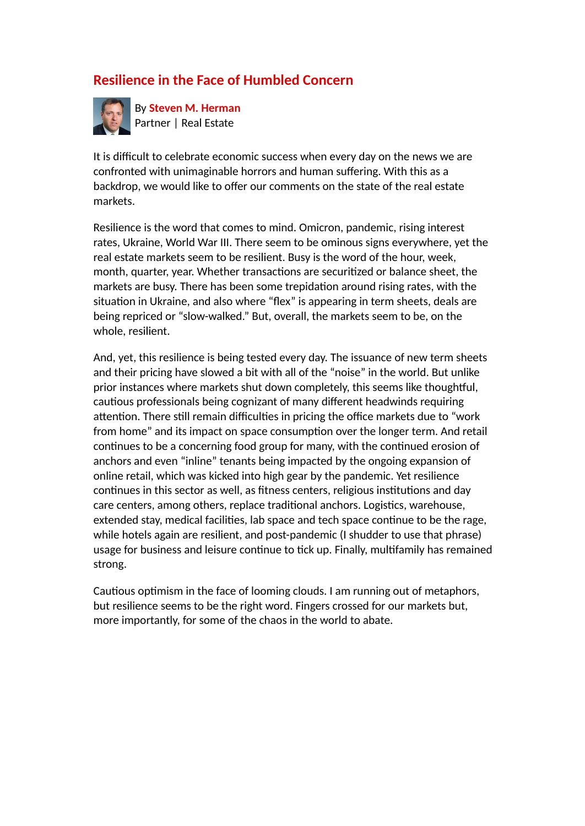# **Resilience in the Face of Humbled Concern**



By **[Steven M. Herman](https://www.cadwalader.com/professionals/steven-herman)** Partner | Real Estate

It is difficult to celebrate economic success when every day on the news we are confronted with unimaginable horrors and human suffering. With this as a backdrop, we would like to offer our comments on the state of the real estate markets.

Resilience is the word that comes to mind. Omicron, pandemic, rising interest rates, Ukraine, World War III. There seem to be ominous signs everywhere, yet the real estate markets seem to be resilient. Busy is the word of the hour, week, month, quarter, year. Whether transactions are securitized or balance sheet, the markets are busy. There has been some trepidation around rising rates, with the situation in Ukraine, and also where "flex" is appearing in term sheets, deals are being repriced or "slow-walked." But, overall, the markets seem to be, on the whole, resilient.

And, yet, this resilience is being tested every day. The issuance of new term sheets and their pricing have slowed a bit with all of the "noise" in the world. But unlike prior instances where markets shut down completely, this seems like thoughtful, cautious professionals being cognizant of many different headwinds requiring attention. There still remain difficulties in pricing the office markets due to "work from home" and its impact on space consumption over the longer term. And retail continues to be a concerning food group for many, with the continued erosion of anchors and even "inline" tenants being impacted by the ongoing expansion of online retail, which was kicked into high gear by the pandemic. Yet resilience continues in this sector as well, as fitness centers, religious institutions and day care centers, among others, replace traditional anchors. Logistics, warehouse, extended stay, medical facilities, lab space and tech space continue to be the rage, while hotels again are resilient, and post-pandemic (I shudder to use that phrase) usage for business and leisure continue to tick up. Finally, multifamily has remained strong.

Cautious optimism in the face of looming clouds. I am running out of metaphors, but resilience seems to be the right word. Fingers crossed for our markets but, more importantly, for some of the chaos in the world to abate.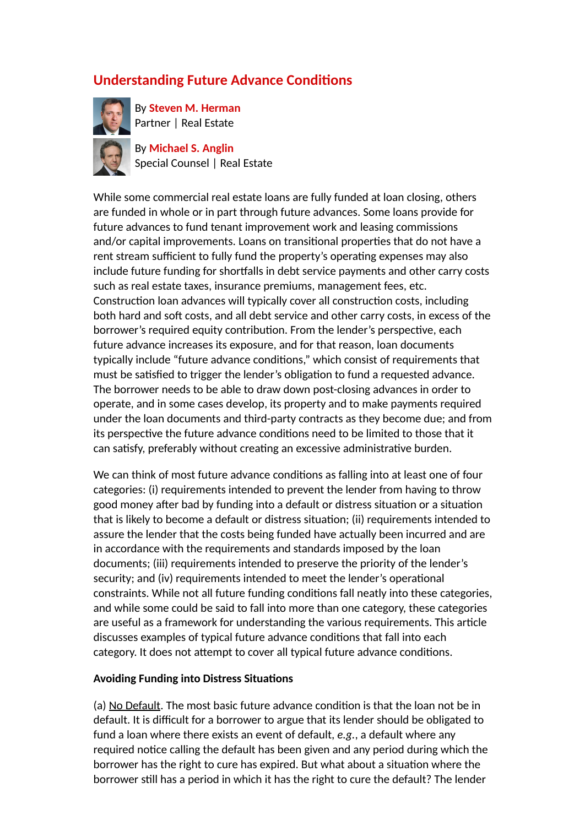# **Understanding Future Advance Conditions**



By **[Steven M. Herman](https://www.cadwalader.com/professionals/steven-herman)** Partner | Real Estate

By **[Michael S. Anglin](https://www.cadwalader.com/professionals/michael-anglin)** Special Counsel | Real Estate

While some commercial real estate loans are fully funded at loan closing, others are funded in whole or in part through future advances. Some loans provide for future advances to fund tenant improvement work and leasing commissions and/or capital improvements. Loans on transitional properties that do not have a rent stream sufficient to fully fund the property's operating expenses may also include future funding for shortfalls in debt service payments and other carry costs such as real estate taxes, insurance premiums, management fees, etc. Construction loan advances will typically cover all construction costs, including both hard and soft costs, and all debt service and other carry costs, in excess of the borrower's required equity contribution. From the lender's perspective, each future advance increases its exposure, and for that reason, loan documents typically include "future advance conditions," which consist of requirements that must be satisfied to trigger the lender's obligation to fund a requested advance. The borrower needs to be able to draw down post-closing advances in order to operate, and in some cases develop, its property and to make payments required under the loan documents and third-party contracts as they become due; and from its perspective the future advance conditions need to be limited to those that it can satisfy, preferably without creating an excessive administrative burden.

We can think of most future advance conditions as falling into at least one of four categories: (i) requirements intended to prevent the lender from having to throw good money after bad by funding into a default or distress situation or a situation that is likely to become a default or distress situation; (ii) requirements intended to assure the lender that the costs being funded have actually been incurred and are in accordance with the requirements and standards imposed by the loan documents; (iii) requirements intended to preserve the priority of the lender's security; and (iv) requirements intended to meet the lender's operational constraints. While not all future funding conditions fall neatly into these categories, and while some could be said to fall into more than one category, these categories are useful as a framework for understanding the various requirements. This article discusses examples of typical future advance conditions that fall into each category. It does not attempt to cover all typical future advance conditions.

## **Avoiding Funding into Distress Situations**

(a) No Default. The most basic future advance condition is that the loan not be in default. It is difficult for a borrower to argue that its lender should be obligated to fund a loan where there exists an event of default, *e.g.*, a default where any required notice calling the default has been given and any period during which the borrower has the right to cure has expired. But what about a situation where the borrower still has a period in which it has the right to cure the default? The lender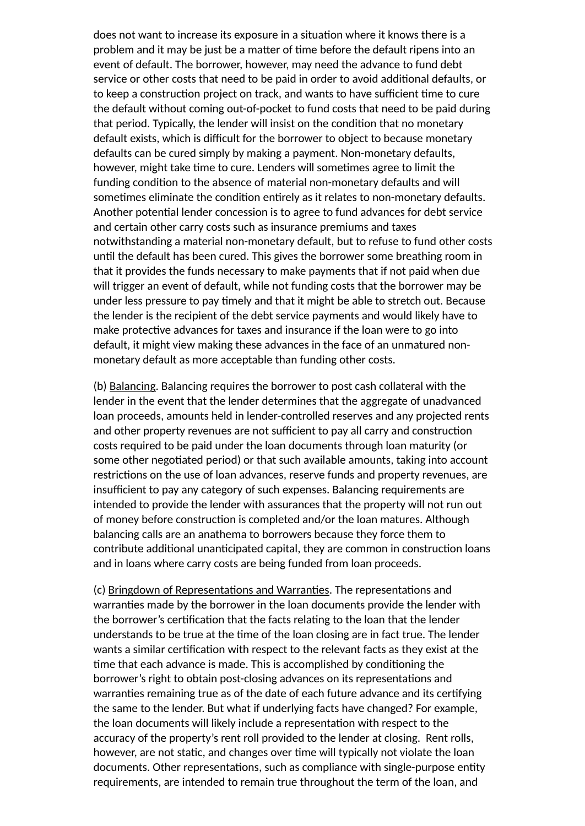does not want to increase its exposure in a situation where it knows there is a problem and it may be just be a matter of time before the default ripens into an event of default. The borrower, however, may need the advance to fund debt service or other costs that need to be paid in order to avoid additional defaults, or to keep a construction project on track, and wants to have sufficient time to cure the default without coming out-of-pocket to fund costs that need to be paid during that period. Typically, the lender will insist on the condition that no monetary default exists, which is difficult for the borrower to object to because monetary defaults can be cured simply by making a payment. Non-monetary defaults, however, might take time to cure. Lenders will sometimes agree to limit the funding condition to the absence of material non-monetary defaults and will sometimes eliminate the condition entirely as it relates to non-monetary defaults. Another potential lender concession is to agree to fund advances for debt service and certain other carry costs such as insurance premiums and taxes notwithstanding a material non-monetary default, but to refuse to fund other costs until the default has been cured. This gives the borrower some breathing room in that it provides the funds necessary to make payments that if not paid when due will trigger an event of default, while not funding costs that the borrower may be under less pressure to pay timely and that it might be able to stretch out. Because the lender is the recipient of the debt service payments and would likely have to make protective advances for taxes and insurance if the loan were to go into default, it might view making these advances in the face of an unmatured nonmonetary default as more acceptable than funding other costs.

(b) Balancing. Balancing requires the borrower to post cash collateral with the lender in the event that the lender determines that the aggregate of unadvanced loan proceeds, amounts held in lender-controlled reserves and any projected rents and other property revenues are not sufficient to pay all carry and construction costs required to be paid under the loan documents through loan maturity (or some other negotiated period) or that such available amounts, taking into account restrictions on the use of loan advances, reserve funds and property revenues, are insufficient to pay any category of such expenses. Balancing requirements are intended to provide the lender with assurances that the property will not run out of money before construction is completed and/or the loan matures. Although balancing calls are an anathema to borrowers because they force them to contribute additional unanticipated capital, they are common in construction loans and in loans where carry costs are being funded from loan proceeds.

(c) Bringdown of Representations and Warranties. The representations and warranties made by the borrower in the loan documents provide the lender with the borrower's certification that the facts relating to the loan that the lender understands to be true at the time of the loan closing are in fact true. The lender wants a similar certification with respect to the relevant facts as they exist at the time that each advance is made. This is accomplished by conditioning the borrower's right to obtain post-closing advances on its representations and warranties remaining true as of the date of each future advance and its certifying the same to the lender. But what if underlying facts have changed? For example, the loan documents will likely include a representation with respect to the accuracy of the property's rent roll provided to the lender at closing. Rent rolls, however, are not static, and changes over time will typically not violate the loan documents. Other representations, such as compliance with single-purpose entity requirements, are intended to remain true throughout the term of the loan, and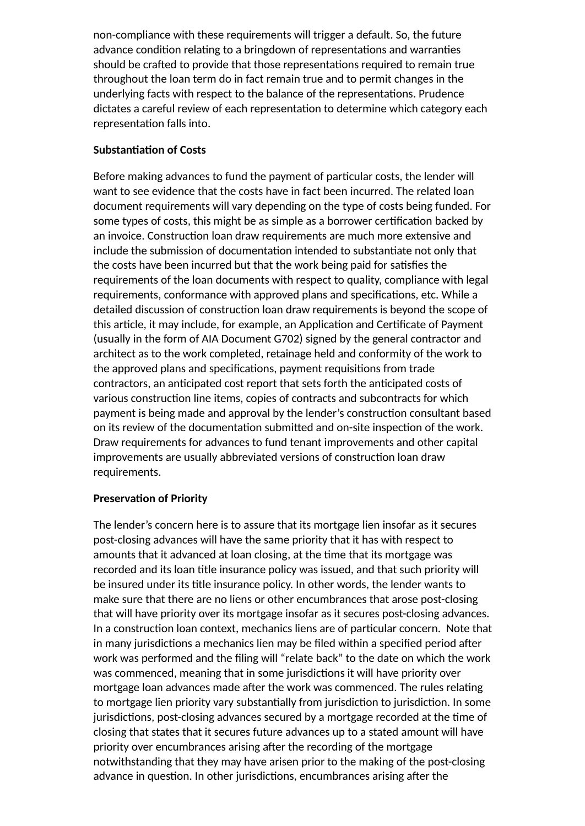non-compliance with these requirements will trigger a default. So, the future advance condition relating to a bringdown of representations and warranties should be crafted to provide that those representations required to remain true throughout the loan term do in fact remain true and to permit changes in the underlying facts with respect to the balance of the representations. Prudence dictates a careful review of each representation to determine which category each representation falls into.

## **Substantiation of Costs**

Before making advances to fund the payment of particular costs, the lender will want to see evidence that the costs have in fact been incurred. The related loan document requirements will vary depending on the type of costs being funded. For some types of costs, this might be as simple as a borrower certification backed by an invoice. Construction loan draw requirements are much more extensive and include the submission of documentation intended to substantiate not only that the costs have been incurred but that the work being paid for satisfies the requirements of the loan documents with respect to quality, compliance with legal requirements, conformance with approved plans and specifications, etc. While a detailed discussion of construction loan draw requirements is beyond the scope of this article, it may include, for example, an Application and Certificate of Payment (usually in the form of AIA Document G702) signed by the general contractor and architect as to the work completed, retainage held and conformity of the work to the approved plans and specifications, payment requisitions from trade contractors, an anticipated cost report that sets forth the anticipated costs of various construction line items, copies of contracts and subcontracts for which payment is being made and approval by the lender's construction consultant based on its review of the documentation submitted and on-site inspection of the work. Draw requirements for advances to fund tenant improvements and other capital improvements are usually abbreviated versions of construction loan draw requirements.

## **Preservation of Priority**

The lender's concern here is to assure that its mortgage lien insofar as it secures post-closing advances will have the same priority that it has with respect to amounts that it advanced at loan closing, at the time that its mortgage was recorded and its loan title insurance policy was issued, and that such priority will be insured under its title insurance policy. In other words, the lender wants to make sure that there are no liens or other encumbrances that arose post-closing that will have priority over its mortgage insofar as it secures post-closing advances. In a construction loan context, mechanics liens are of particular concern. Note that in many jurisdictions a mechanics lien may be filed within a specified period after work was performed and the filing will "relate back" to the date on which the work was commenced, meaning that in some jurisdictions it will have priority over mortgage loan advances made after the work was commenced. The rules relating to mortgage lien priority vary substantially from jurisdiction to jurisdiction. In some jurisdictions, post-closing advances secured by a mortgage recorded at the time of closing that states that it secures future advances up to a stated amount will have priority over encumbrances arising after the recording of the mortgage notwithstanding that they may have arisen prior to the making of the post-closing advance in question. In other jurisdictions, encumbrances arising after the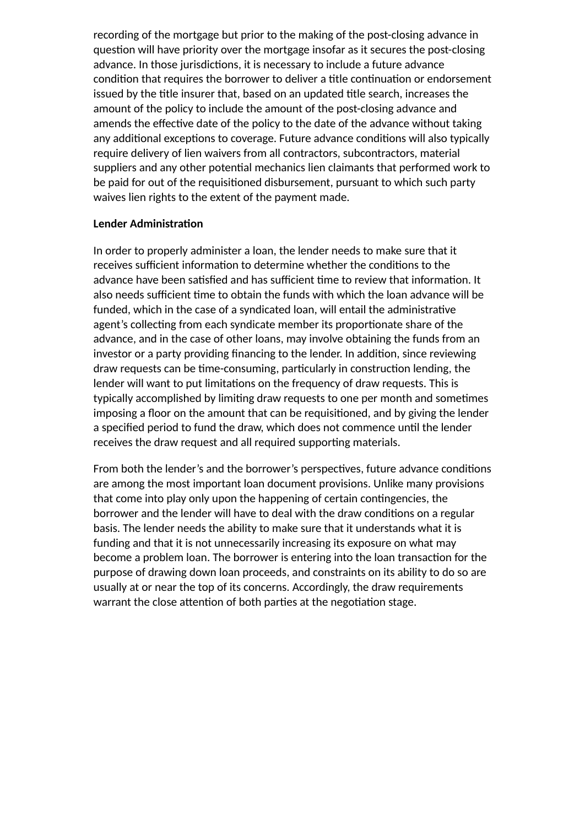recording of the mortgage but prior to the making of the post-closing advance in question will have priority over the mortgage insofar as it secures the post-closing advance. In those jurisdictions, it is necessary to include a future advance condition that requires the borrower to deliver a title continuation or endorsement issued by the title insurer that, based on an updated title search, increases the amount of the policy to include the amount of the post-closing advance and amends the effective date of the policy to the date of the advance without taking any additional exceptions to coverage. Future advance conditions will also typically require delivery of lien waivers from all contractors, subcontractors, material suppliers and any other potential mechanics lien claimants that performed work to be paid for out of the requisitioned disbursement, pursuant to which such party waives lien rights to the extent of the payment made.

#### **Lender Administration**

In order to properly administer a loan, the lender needs to make sure that it receives sufficient information to determine whether the conditions to the advance have been satisfied and has sufficient time to review that information. It also needs sufficient time to obtain the funds with which the loan advance will be funded, which in the case of a syndicated loan, will entail the administrative agent's collecting from each syndicate member its proportionate share of the advance, and in the case of other loans, may involve obtaining the funds from an investor or a party providing financing to the lender. In addition, since reviewing draw requests can be time-consuming, particularly in construction lending, the lender will want to put limitations on the frequency of draw requests. This is typically accomplished by limiting draw requests to one per month and sometimes imposing a floor on the amount that can be requisitioned, and by giving the lender a specified period to fund the draw, which does not commence until the lender receives the draw request and all required supporting materials.

From both the lender's and the borrower's perspectives, future advance conditions are among the most important loan document provisions. Unlike many provisions that come into play only upon the happening of certain contingencies, the borrower and the lender will have to deal with the draw conditions on a regular basis. The lender needs the ability to make sure that it understands what it is funding and that it is not unnecessarily increasing its exposure on what may become a problem loan. The borrower is entering into the loan transaction for the purpose of drawing down loan proceeds, and constraints on its ability to do so are usually at or near the top of its concerns. Accordingly, the draw requirements warrant the close attention of both parties at the negotiation stage.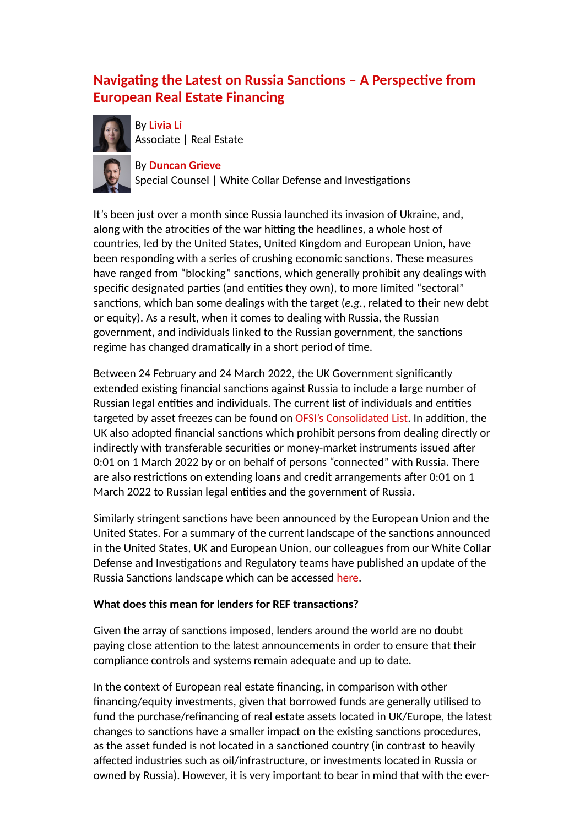# **Navigating the Latest on Russia Sanctions - A Perspective from European Real Estate Financing**



By **[Livia Li](https://www.cadwalader.com/professionals/livia-li)** Associate | Real Estate

## By **[Duncan Grieve](https://www.cadwalader.com/professionals/duncan-grieve)** Special Counsel | White Collar Defense and Investigations

It's been just over a month since Russia launched its invasion of Ukraine, and, along with the atrocities of the war hitting the headlines, a whole host of countries, led by the United States, United Kingdom and European Union, have been responding with a series of crushing economic sanctions. These measures have ranged from "blocking" sanctions, which generally prohibit any dealings with specific designated parties (and entities they own), to more limited "sectoral" sanctions, which ban some dealings with the target (*e.g.*, related to their new debt or equity). As a result, when it comes to dealing with Russia, the Russian government, and individuals linked to the Russian government, the sanctions regime has changed dramatically in a short period of time.

Between 24 February and 24 March 2022, the UK Government significantly extended existing financial sanctions against Russia to include a large number of Russian legal entities and individuals. The current list of individuals and entities targeted by asset freezes can be found on [OFSI's Consolidated List.](https://assets.publishing.service.gov.uk/government/uploads/system/uploads/attachment_data/file/1063496/Russia.pdf) In addition, the UK also adopted financial sanctions which prohibit persons from dealing directly or indirectly with transferable securities or money-market instruments issued after 0:01 on 1 March 2022 by or on behalf of persons "connected" with Russia. There are also restrictions on extending loans and credit arrangements after 0:01 on 1 March 2022 to Russian legal entities and the government of Russia.

Similarly stringent sanctions have been announced by the European Union and the United States. For a summary of the current landscape of the sanctions announced in the United States, UK and European Union, our colleagues from our White Collar Defense and Investigations and Regulatory teams have published an update of the Russia Sanctions landscape which can be accessed [here](https://www.cadwalader.com/resources/clients-friends-memos/taking-stock-a-survey-of-the-new-russia-sanctions-landscape).

## **What does this mean for lenders for REF transactions?**

Given the array of sanctions imposed, lenders around the world are no doubt paying close attention to the latest announcements in order to ensure that their compliance controls and systems remain adequate and up to date.

In the context of European real estate financing, in comparison with other financing/equity investments, given that borrowed funds are generally utilised to fund the purchase/refinancing of real estate assets located in UK/Europe, the latest changes to sanctions have a smaller impact on the existing sanctions procedures, as the asset funded is not located in a sanctioned country (in contrast to heavily affected industries such as oil/infrastructure, or investments located in Russia or owned by Russia). However, it is very important to bear in mind that with the ever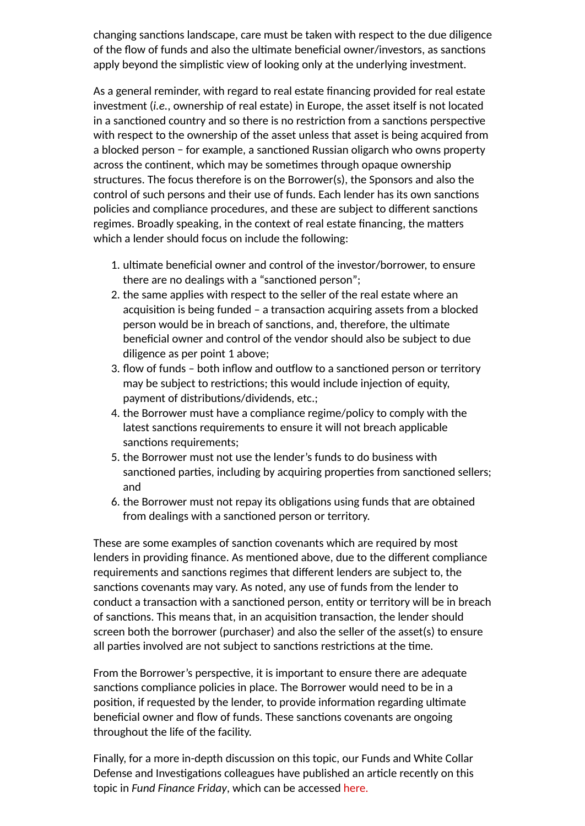changing sanctions landscape, care must be taken with respect to the due diligence of the flow of funds and also the ultimate beneficial owner/investors, as sanctions apply beyond the simplistic view of looking only at the underlying investment.

As a general reminder, with regard to real estate financing provided for real estate investment (*i.e.*, ownership of real estate) in Europe, the asset itself is not located in a sanctioned country and so there is no restriction from a sanctions perspective with respect to the ownership of the asset unless that asset is being acquired from a blocked person − for example, a sanctioned Russian oligarch who owns property across the continent, which may be sometimes through opaque ownership structures. The focus therefore is on the Borrower(s), the Sponsors and also the control of such persons and their use of funds. Each lender has its own sanctions policies and compliance procedures, and these are subject to different sanctions regimes. Broadly speaking, in the context of real estate financing, the matters which a lender should focus on include the following:

- 1. ultimate beneficial owner and control of the investor/borrower, to ensure there are no dealings with a "sanctioned person";
- 2. the same applies with respect to the seller of the real estate where an acquisition is being funded  $-$  a transaction acquiring assets from a blocked person would be in breach of sanctions, and, therefore, the ultimate beneficial owner and control of the vendor should also be subject to due diligence as per point 1 above;
- 3. flow of funds both inflow and outflow to a sanctioned person or territory may be subject to restrictions; this would include injection of equity, payment of distributions/dividends, etc.;
- 4. the Borrower must have a compliance regime/policy to comply with the latest sanctions requirements to ensure it will not breach applicable sanctions requirements;
- 5. the Borrower must not use the lender's funds to do business with sanctioned parties, including by acquiring properties from sanctioned sellers; and
- 6. the Borrower must not repay its obligations using funds that are obtained from dealings with a sanctioned person or territory.

These are some examples of sanction covenants which are required by most lenders in providing finance. As mentioned above, due to the different compliance requirements and sanctions regimes that different lenders are subject to, the sanctions covenants may vary. As noted, any use of funds from the lender to conduct a transaction with a sanctioned person, entity or territory will be in breach of sanctions. This means that, in an acquisition transaction, the lender should screen both the borrower (purchaser) and also the seller of the asset(s) to ensure all parties involved are not subject to sanctions restrictions at the time.

From the Borrower's perspective, it is important to ensure there are adequate sanctions compliance policies in place. The Borrower would need to be in a position, if requested by the lender, to provide information regarding ultimate beneficial owner and flow of funds. These sanctions covenants are ongoing throughout the life of the facility.

Finally, for a more in-depth discussion on this topic, our Funds and White Collar Defense and Investigations colleagues have published an article recently on this topic in *Fund Finance Friday*, which can be accessed [here.](https://www.cadwalader.com/fund-finance-friday/index.php?eid=1346&nid=179)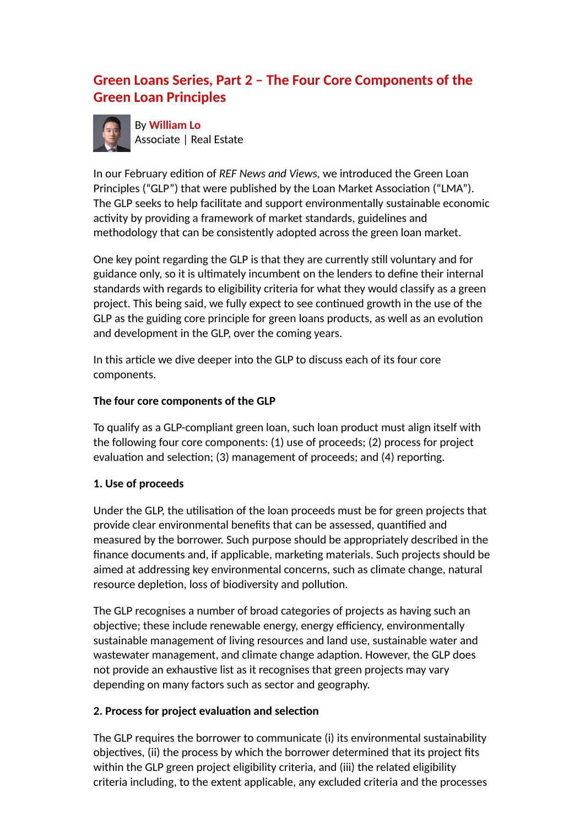# **Green Loans Series, Part 2 – The Four Core Components of the Green Loan Principles**



By **[William Lo](https://www.cadwalader.com/professionals/william-lo)** Associate | Real Estate

In our February edition of *REF News and Views*, we introduced the Green Loan Principles ("GLP") that were published by the Loan Market Association ("LMA"). The GLP seeks to help facilitate and support environmentally sustainable economic activity by providing a framework of market standards, guidelines and methodology that can be consistently adopted across the green loan market.

One key point regarding the GLP is that they are currently still voluntary and for guidance only, so it is ultimately incumbent on the lenders to define their internal standards with regards to eligibility criteria for what they would classify as a green project. This being said, we fully expect to see continued growth in the use of the GLP as the guiding core principle for green loans products, as well as an evolution and development in the GLP, over the coming years.

In this article we dive deeper into the GLP to discuss each of its four core components.

## **The four core components of the GLP**

To qualify as a GLP-compliant green loan, such loan product must align itself with the following four core components: (1) use of proceeds; (2) process for project evaluation and selection; (3) management of proceeds; and (4) reporting.

## **1. Use of proceeds**

Under the GLP, the utilisation of the loan proceeds must be for green projects that provide clear environmental benefits that can be assessed, quanfied and measured by the borrower. Such purpose should be appropriately described in the finance documents and, if applicable, marketing materials. Such projects should be aimed at addressing key environmental concerns, such as climate change, natural resource depletion, loss of biodiversity and pollution.

The GLP recognises a number of broad categories of projects as having such an objective; these include renewable energy, energy efficiency, environmentally sustainable management of living resources and land use, sustainable water and wastewater management, and climate change adaption. However, the GLP does not provide an exhaustive list as it recognises that green projects may vary depending on many factors such as sector and geography.

## **2. Process for project evaluation and selection**

The GLP requires the borrower to communicate (i) its environmental sustainability objectives, (ii) the process by which the borrower determined that its project fits within the GLP green project eligibility criteria, and (iii) the related eligibility criteria including, to the extent applicable, any excluded criteria and the processes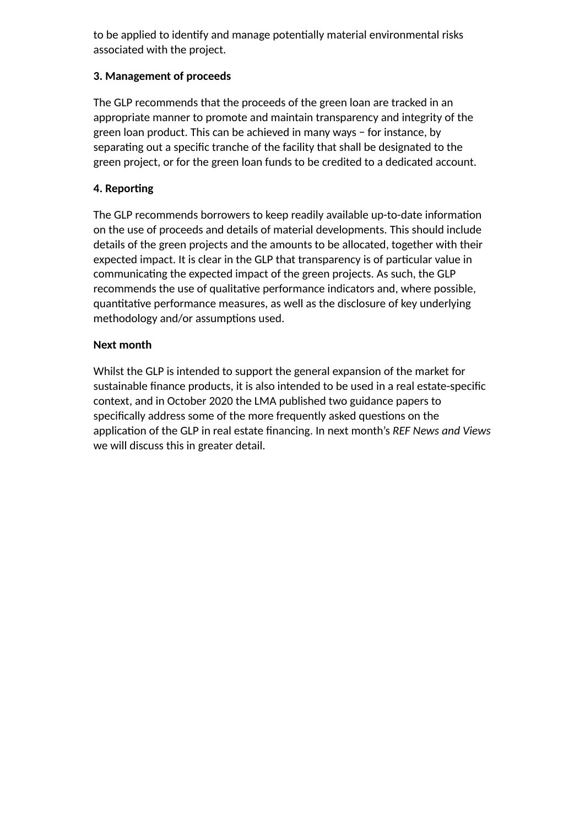to be applied to identify and manage potentially material environmental risks associated with the project.

## **3. Management of proceeds**

The GLP recommends that the proceeds of the green loan are tracked in an appropriate manner to promote and maintain transparency and integrity of the green loan product. This can be achieved in many ways − for instance, by separating out a specific tranche of the facility that shall be designated to the green project, or for the green loan funds to be credited to a dedicated account.

## **4. Reporting**

The GLP recommends borrowers to keep readily available up-to-date information on the use of proceeds and details of material developments. This should include details of the green projects and the amounts to be allocated, together with their expected impact. It is clear in the GLP that transparency is of particular value in communicating the expected impact of the green projects. As such, the GLP recommends the use of qualitative performance indicators and, where possible, quantitative performance measures, as well as the disclosure of key underlying methodology and/or assumptions used.

## **Next month**

Whilst the GLP is intended to support the general expansion of the market for sustainable finance products, it is also intended to be used in a real estate-specific context, and in October 2020 the LMA published two guidance papers to specifically address some of the more frequently asked questions on the application of the GLP in real estate financing. In next month's *REF News and Views* we will discuss this in greater detail.